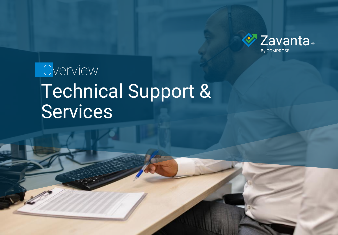

# Technical Support & Services **Overview**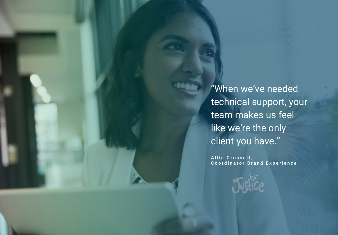"When we've needed technical support, your team makes us feel like we're the only client you have."

Allie Grossett, Coordinator Brand Experience

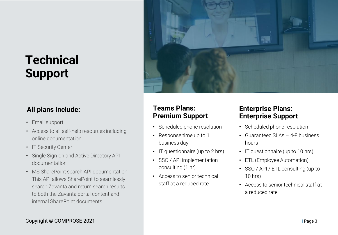## **Technical Support**

#### **All plans include:**

- Email support
- Access to all self-help resources including online documentation
- IT Security Center
- Single Sign-on and Active Directory API documentation
- MS SharePoint search API documentation. This API allows SharePoint to seamlessly search Zavanta and return search results to both the Zavanta portal content and internal SharePoint documents.



#### **Teams Plans: Premium Support**

- Scheduled phone resolution
- Response time up to 1 business day
- IT questionnaire (up to 2 hrs)
- SSO / API implementation consulting (1 hr)
- Access to senior technical staff at a reduced rate

#### **Enterprise Plans: Enterprise Support**

- Scheduled phone resolution
- Guaranteed SLAs 4-8 business hours
- IT questionnaire (up to 10 hrs)
- ETL (Employee Automation)
- SSO / API / ETL consulting (up to 10 hrs)
- Access to senior technical staff at a reduced rate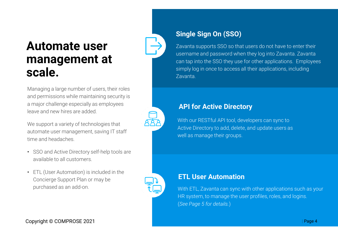### **Automate user management at scale.**

Managing a large number of users, their roles and permissions while maintaining security is a major challenge especially as employees leave and new hires are added.

We support a variety of technologies that automate user management, saving IT staff time and headaches.

- SSO and Active Directory self-help tools are available to all customers.
- ETL (User Automation) is included in the Concierge Support Plan or may be purchased as an add-on.



Zavanta supports SSO so that users do not have to enter their username and password when they log into Zavanta. Zavanta can tap into the SSO they use for other applications. Employees simply log in once to access all their applications, including Zavanta.

#### **API for Active Directory**

With our RESTful API tool, developers can sync to Active Directory to add, delete, and update users as well as manage their groups.

#### **ETL User Automation**

With ETL, Zavanta can sync with other applications such as your HR system, to manage the user profiles, roles, and logins. (*See Page 5 for details.*)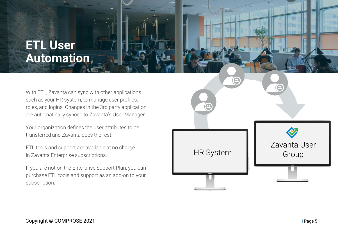### **ETL User Automation**

With ETL, Zavanta can sync with other applications such as your HR system, to manage user profiles, roles, and logins. Changes in the 3rd party application are automatically synced to Zavanta's User Manager.

Your organization defines the user attributes to be transferred and Zavanta does the rest.

ETL tools and support are available at no charge in Zavanta Enterprise subscriptions.

If you are not on the Enterprise Support Plan, you can purchase ETL tools and support as an add-on to your subscription.